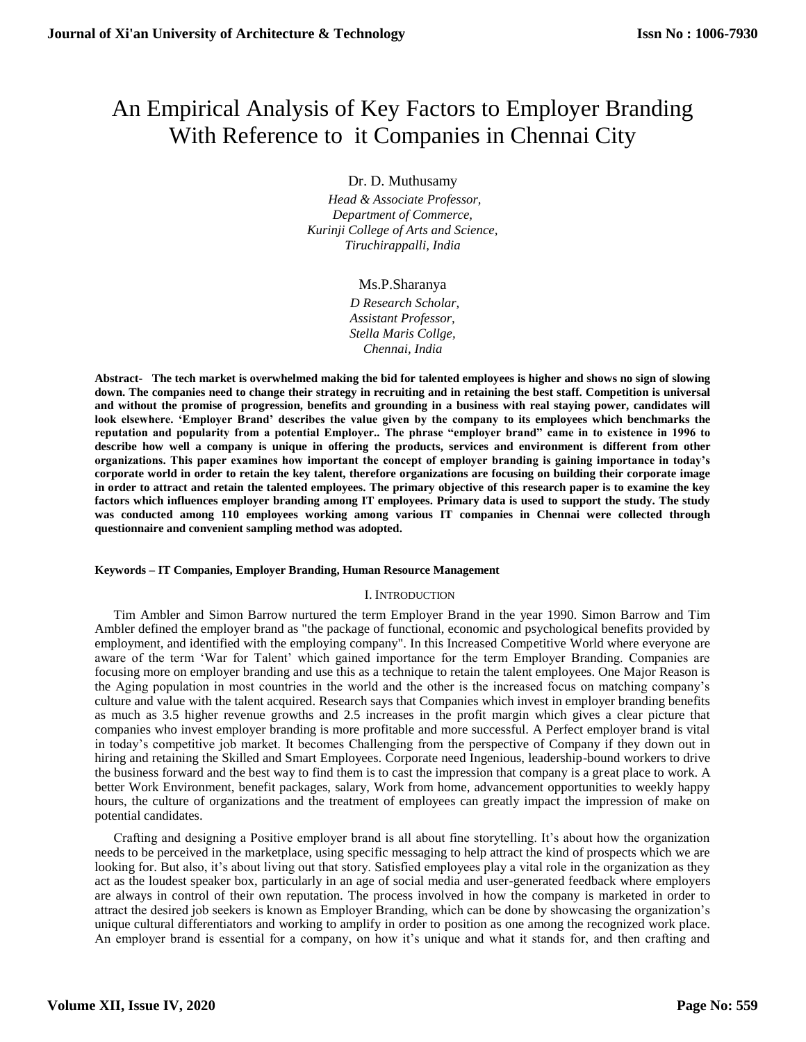# An Empirical Analysis of Key Factors to Employer Branding With Reference to it Companies in Chennai City

Dr. D. Muthusamy

 *Head & Associate Professor, Department of Commerce, Kurinji College of Arts and Science, Tiruchirappalli, India*

Ms.P.Sharanya

 *D Research Scholar, Assistant Professor, Stella Maris Collge, Chennai, India*

**Abstract- The tech market is overwhelmed making the bid for talented employees is higher and shows no sign of slowing down. The companies need to change their strategy in recruiting and in retaining the best staff. Competition is universal and without the promise of progression, benefits and grounding in a business with real staying power, candidates will look elsewhere. 'Employer Brand' describes the value given by the company to its employees which benchmarks the reputation and popularity from a potential Employer.. The phrase "employer brand" came in to existence in 1996 to describe how well a company is unique in offering the products, services and environment is different from other organizations. This paper examines how important the concept of employer branding is gaining importance in today's corporate world in order to retain the key talent, therefore organizations are focusing on building their corporate image in order to attract and retain the talented employees. The primary objective of this research paper is to examine the key factors which influences employer branding among IT employees. Primary data is used to support the study. The study was conducted among 110 employees working among various IT companies in Chennai were collected through questionnaire and convenient sampling method was adopted.**

#### **Keywords – IT Companies, Employer Branding, Human Resource Management**

#### I. INTRODUCTION

Tim Ambler and Simon Barrow nurtured the term Employer Brand in the year 1990. Simon Barrow and Tim Ambler defined the employer brand as "the package of functional, economic and psychological benefits provided by employment, and identified with the employing company". In this Increased Competitive World where everyone are aware of the term 'War for Talent' which gained importance for the term Employer Branding. Companies are focusing more on employer branding and use this as a technique to retain the talent employees. One Major Reason is the Aging population in most countries in the world and the other is the increased focus on matching company's culture and value with the talent acquired. Research says that Companies which invest in employer branding benefits as much as 3.5 higher revenue growths and 2.5 increases in the profit margin which gives a clear picture that companies who invest employer branding is more profitable and more successful. A Perfect employer brand is vital in today's competitive job market. It becomes Challenging from the perspective of Company if they down out in hiring and retaining the Skilled and Smart Employees. Corporate need Ingenious, leadership-bound workers to drive the business forward and the best way to find them is to cast the impression that company is a great place to work. A better Work Environment, benefit packages, salary, Work from home, advancement opportunities to weekly happy hours, the culture of organizations and the treatment of employees can greatly impact the impression of make on potential candidates.

Crafting and designing a Positive employer brand is all about fine storytelling. It's about how the organization needs to be perceived in the marketplace, using specific messaging to help attract the kind of prospects which we are looking for. But also, it's about living out that story. Satisfied employees play a vital role in the organization as they act as the loudest speaker box, particularly in an age of social media and user-generated feedback where employers are always in control of their own reputation. The process involved in how the company is marketed in order to attract the desired job seekers is known as Employer Branding, which can be done by showcasing the organization's unique cultural differentiators and working to amplify in order to position as one among the recognized work place. An employer brand is essential for a company, on how it's unique and what it stands for, and then crafting and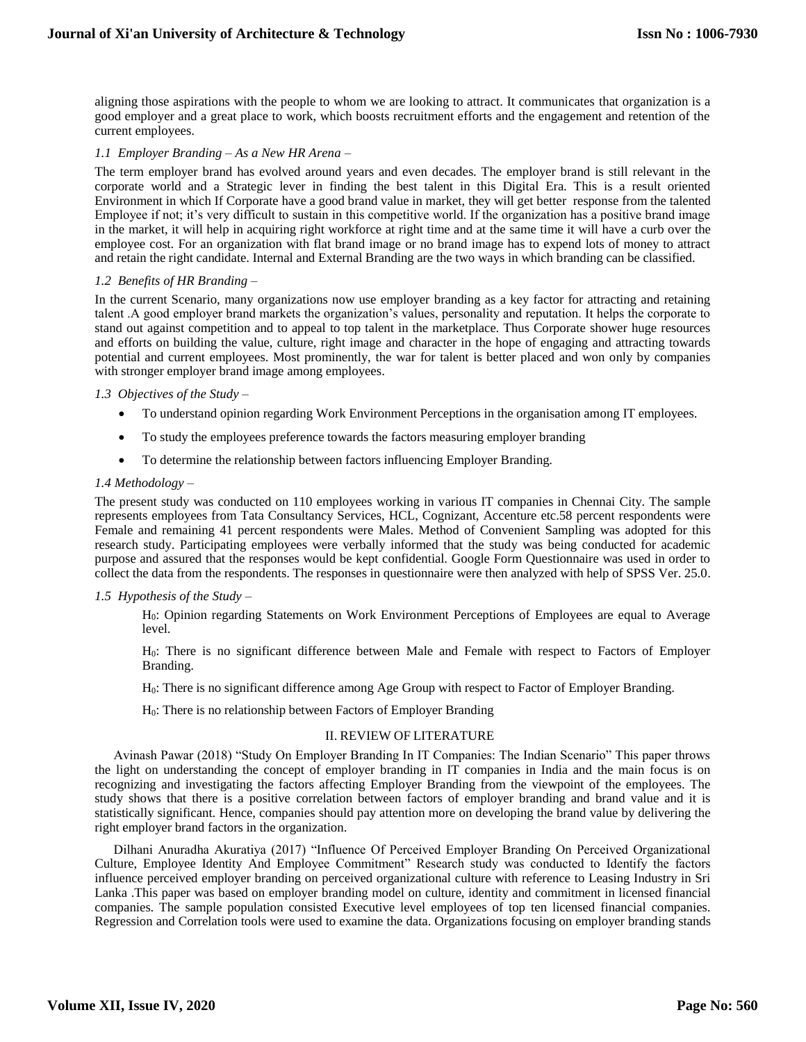aligning those aspirations with the people to whom we are looking to attract. It communicates that organization is a good employer and a great place to work, which boosts recruitment efforts and the engagement and retention of the current employees.

### *1.1 Employer Branding – As a New HR Arena –*

The term employer brand has evolved around years and even decades. The employer brand is still relevant in the corporate world and a Strategic lever in finding the best talent in this Digital Era. This is a result oriented Environment in which If Corporate have a good brand value in market, they will get better response from the talented Employee if not; it's very difficult to sustain in this competitive world. If the organization has a positive brand image in the market, it will help in acquiring right workforce at right time and at the same time it will have a curb over the employee cost. For an organization with flat brand image or no brand image has to expend lots of money to attract and retain the right candidate. Internal and External Branding are the two ways in which branding can be classified.

#### *1.2 Benefits of HR Branding –*

In the current Scenario, many organizations now use employer branding as a key factor for attracting and retaining talent .A good employer brand markets the organization's values, personality and reputation. It helps the corporate to stand out against competition and to appeal to top talent in the marketplace. Thus Corporate shower huge resources and efforts on building the value, culture, right image and character in the hope of engaging and attracting towards potential and current employees. Most prominently, the war for talent is better placed and won only by companies with stronger employer brand image among employees.

#### *1.3 Objectives of the Study –*

- To understand opinion regarding Work Environment Perceptions in the organisation among IT employees.
- To study the employees preference towards the factors measuring employer branding
- To determine the relationship between factors influencing Employer Branding.

## *1.4 Methodology –*

The present study was conducted on 110 employees working in various IT companies in Chennai City. The sample represents employees from Tata Consultancy Services, HCL, Cognizant, Accenture etc.58 percent respondents were Female and remaining 41 percent respondents were Males. Method of Convenient Sampling was adopted for this research study. Participating employees were verbally informed that the study was being conducted for academic purpose and assured that the responses would be kept confidential. Google Form Questionnaire was used in order to collect the data from the respondents. The responses in questionnaire were then analyzed with help of SPSS Ver. 25.0.

#### *1.5 Hypothesis of the Study –*

H0: Opinion regarding Statements on Work Environment Perceptions of Employees are equal to Average level.

H0: There is no significant difference between Male and Female with respect to Factors of Employer Branding.

H<sub>0</sub>: There is no significant difference among Age Group with respect to Factor of Employer Branding.

H0: There is no relationship between Factors of Employer Branding

#### II. REVIEW OF LITERATURE

Avinash Pawar (2018) "Study On Employer Branding In IT Companies: The Indian Scenario" This paper throws the light on understanding the concept of employer branding in IT companies in India and the main focus is on recognizing and investigating the factors affecting Employer Branding from the viewpoint of the employees. The study shows that there is a positive correlation between factors of employer branding and brand value and it is statistically significant. Hence, companies should pay attention more on developing the brand value by delivering the right employer brand factors in the organization.

Dilhani Anuradha Akuratiya (2017) "Influence Of Perceived Employer Branding On Perceived Organizational Culture, Employee Identity And Employee Commitment" Research study was conducted to Identify the factors influence perceived employer branding on perceived organizational culture with reference to Leasing Industry in Sri Lanka .This paper was based on employer branding model on culture, identity and commitment in licensed financial companies. The sample population consisted Executive level employees of top ten licensed financial companies. Regression and Correlation tools were used to examine the data. Organizations focusing on employer branding stands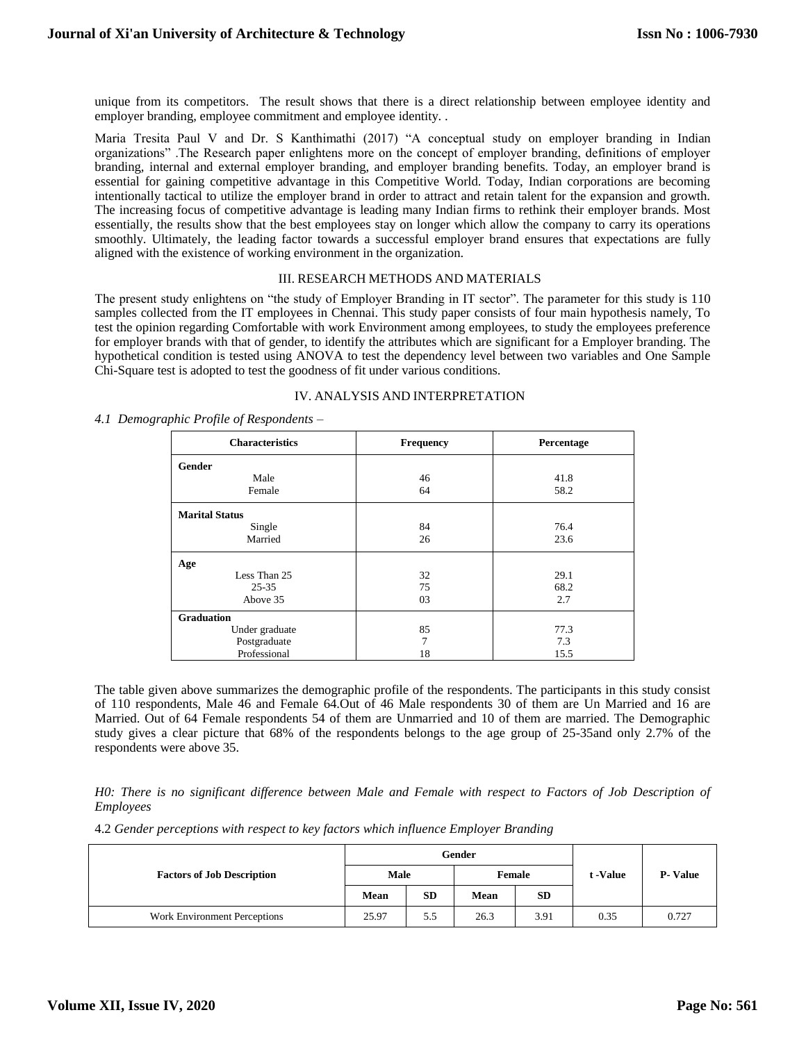unique from its competitors. The result shows that there is a direct relationship between employee identity and employer branding, employee commitment and employee identity. .

Maria Tresita Paul V and Dr. S Kanthimathi (2017) "A conceptual study on employer branding in Indian organizations" .The Research paper enlightens more on the concept of employer branding, definitions of employer branding, internal and external employer branding, and employer branding benefits. Today, an employer brand is essential for gaining competitive advantage in this Competitive World. Today, Indian corporations are becoming intentionally tactical to utilize the employer brand in order to attract and retain talent for the expansion and growth. The increasing focus of competitive advantage is leading many Indian firms to rethink their employer brands. Most essentially, the results show that the best employees stay on longer which allow the company to carry its operations smoothly. Ultimately, the leading factor towards a successful employer brand ensures that expectations are fully aligned with the existence of working environment in the organization.

## III. RESEARCH METHODS AND MATERIALS

The present study enlightens on "the study of Employer Branding in IT sector". The parameter for this study is 110 samples collected from the IT employees in Chennai. This study paper consists of four main hypothesis namely, To test the opinion regarding Comfortable with work Environment among employees, to study the employees preference for employer brands with that of gender, to identify the attributes which are significant for a Employer branding. The hypothetical condition is tested using ANOVA to test the dependency level between two variables and One Sample Chi-Square test is adopted to test the goodness of fit under various conditions.

#### IV. ANALYSIS AND INTERPRETATION

*4.1 Demographic Profile of Respondents –*

| <b>Characteristics</b> | Frequency | Percentage |
|------------------------|-----------|------------|
| <b>Gender</b>          |           |            |
| Male                   | 46        | 41.8       |
| Female                 | 64        | 58.2       |
| <b>Marital Status</b>  |           |            |
| Single                 | 84        | 76.4       |
| Married                | 26        | 23.6       |
| Age                    |           |            |
| Less Than 25           | 32        | 29.1       |
| $25 - 35$              | 75        | 68.2       |
| Above 35               | 03        | 2.7        |
| <b>Graduation</b>      |           |            |
| Under graduate         | 85        | 77.3       |
| Postgraduate           | 7         | 7.3        |
| Professional           | 18        | 15.5       |

The table given above summarizes the demographic profile of the respondents. The participants in this study consist of 110 respondents, Male 46 and Female 64.Out of 46 Male respondents 30 of them are Un Married and 16 are Married. Out of 64 Female respondents 54 of them are Unmarried and 10 of them are married. The Demographic study gives a clear picture that 68% of the respondents belongs to the age group of 25-35and only 2.7% of the respondents were above 35.

## *H0: There is no significant difference between Male and Female with respect to Factors of Job Description of Employees*

4.2 *Gender perceptions with respect to key factors which influence Employer Branding*

|                                   | Gender |           |             |           |          |                  |
|-----------------------------------|--------|-----------|-------------|-----------|----------|------------------|
| <b>Factors of Job Description</b> | Male   |           | Female      |           | t -Value | <b>P</b> - Value |
|                                   | Mean   | <b>SD</b> | <b>Mean</b> | <b>SD</b> |          |                  |
| Work Environment Perceptions      | 25.97  | 5.5       | 26.3        | 3.91      | 0.35     | 0.727            |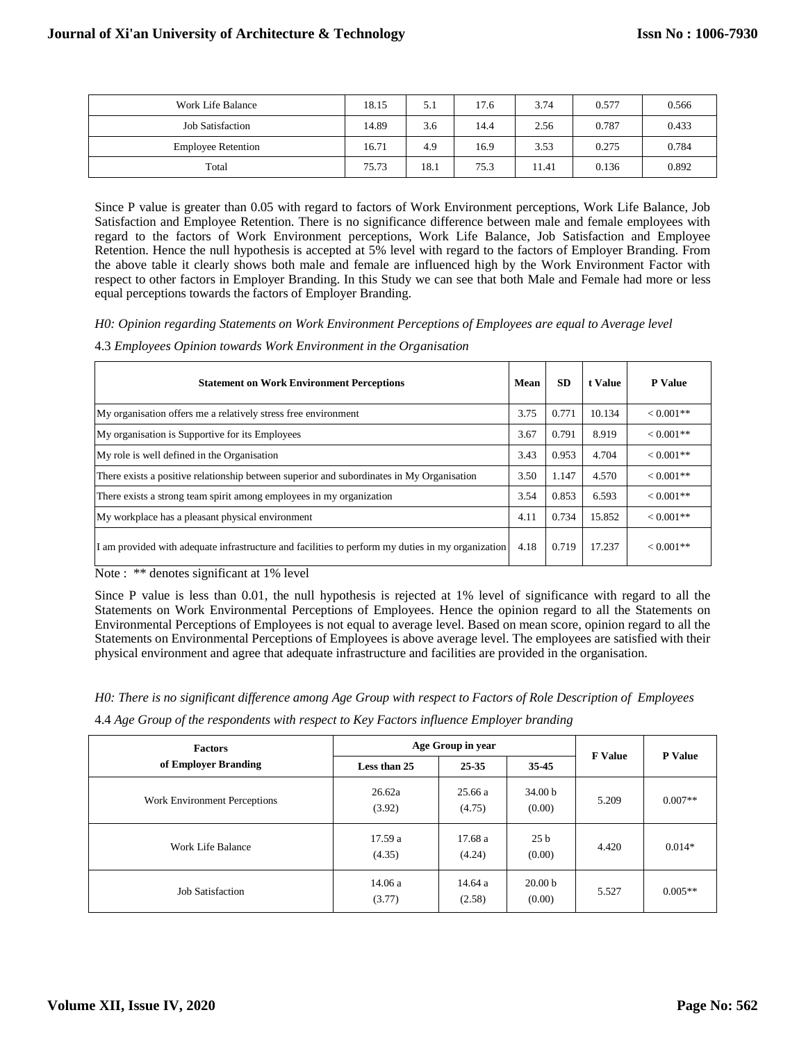| Work Life Balance         | 18.15 | 5.1  | 17.6 | 3.74  | 0.577 | 0.566 |
|---------------------------|-------|------|------|-------|-------|-------|
| <b>Job Satisfaction</b>   | 14.89 | 3.6  | 14.4 | 2.56  | 0.787 | 0.433 |
| <b>Employee Retention</b> | 16.71 | 4.9  | 16.9 | 3.53  | 0.275 | 0.784 |
| Total                     | 75.73 | 18.1 | 75.3 | 11.41 | 0.136 | 0.892 |

Since P value is greater than 0.05 with regard to factors of Work Environment perceptions, Work Life Balance, Job Satisfaction and Employee Retention. There is no significance difference between male and female employees with regard to the factors of Work Environment perceptions, Work Life Balance, Job Satisfaction and Employee Retention. Hence the null hypothesis is accepted at 5% level with regard to the factors of Employer Branding. From the above table it clearly shows both male and female are influenced high by the Work Environment Factor with respect to other factors in Employer Branding. In this Study we can see that both Male and Female had more or less equal perceptions towards the factors of Employer Branding.

*H0: Opinion regarding Statements on Work Environment Perceptions of Employees are equal to Average level* 

4.3 *Employees Opinion towards Work Environment in the Organisation*

| <b>Statement on Work Environment Perceptions</b>                                                  | Mean | <b>SD</b> | t Value | <b>P</b> Value |
|---------------------------------------------------------------------------------------------------|------|-----------|---------|----------------|
| My organisation offers me a relatively stress free environment                                    | 3.75 | 0.771     | 10.134  | $< 0.001**$    |
| My organisation is Supportive for its Employees                                                   | 3.67 | 0.791     | 8.919   | $< 0.001**$    |
| My role is well defined in the Organisation                                                       | 3.43 | 0.953     | 4.704   | $< 0.001**$    |
| There exists a positive relationship between superior and subordinates in My Organisation         | 3.50 | 1.147     | 4.570   | $< 0.001**$    |
| There exists a strong team spirit among employees in my organization                              | 3.54 | 0.853     | 6.593   | $< 0.001$ **   |
| My workplace has a pleasant physical environment                                                  | 4.11 | 0.734     | 15.852  | $< 0.001$ **   |
| I am provided with adequate infrastructure and facilities to perform my duties in my organization | 4.18 | 0.719     | 17.237  | $< 0.001$ **   |

Note : \*\* denotes significant at 1% level

Since P value is less than 0.01, the null hypothesis is rejected at 1% level of significance with regard to all the Statements on Work Environmental Perceptions of Employees. Hence the opinion regard to all the Statements on Environmental Perceptions of Employees is not equal to average level. Based on mean score, opinion regard to all the Statements on Environmental Perceptions of Employees is above average level. The employees are satisfied with their physical environment and agree that adequate infrastructure and facilities are provided in the organisation.

*H0: There is no significant difference among Age Group with respect to Factors of Role Description of Employees*

4.4 *Age Group of the respondents with respect to Key Factors influence Employer branding*

| <b>Factors</b>               | Age Group in year | <b>F</b> Value    | <b>P</b> Value               |       |           |
|------------------------------|-------------------|-------------------|------------------------------|-------|-----------|
| of Employer Branding         | Less than 25      | 25-35             | 35-45                        |       |           |
| Work Environment Perceptions | 26.62a<br>(3.92)  | 25.66a<br>(4.75)  | 34.00 <sub>b</sub><br>(0.00) | 5.209 | $0.007**$ |
| Work Life Balance            | 17.59 a<br>(4.35) | 17.68 a<br>(4.24) | 25 <sub>b</sub><br>(0.00)    | 4.420 | $0.014*$  |
| <b>Job Satisfaction</b>      | 14.06a<br>(3.77)  | 14.64 a<br>(2.58) | 20.00 <sub>b</sub><br>(0.00) | 5.527 | $0.005**$ |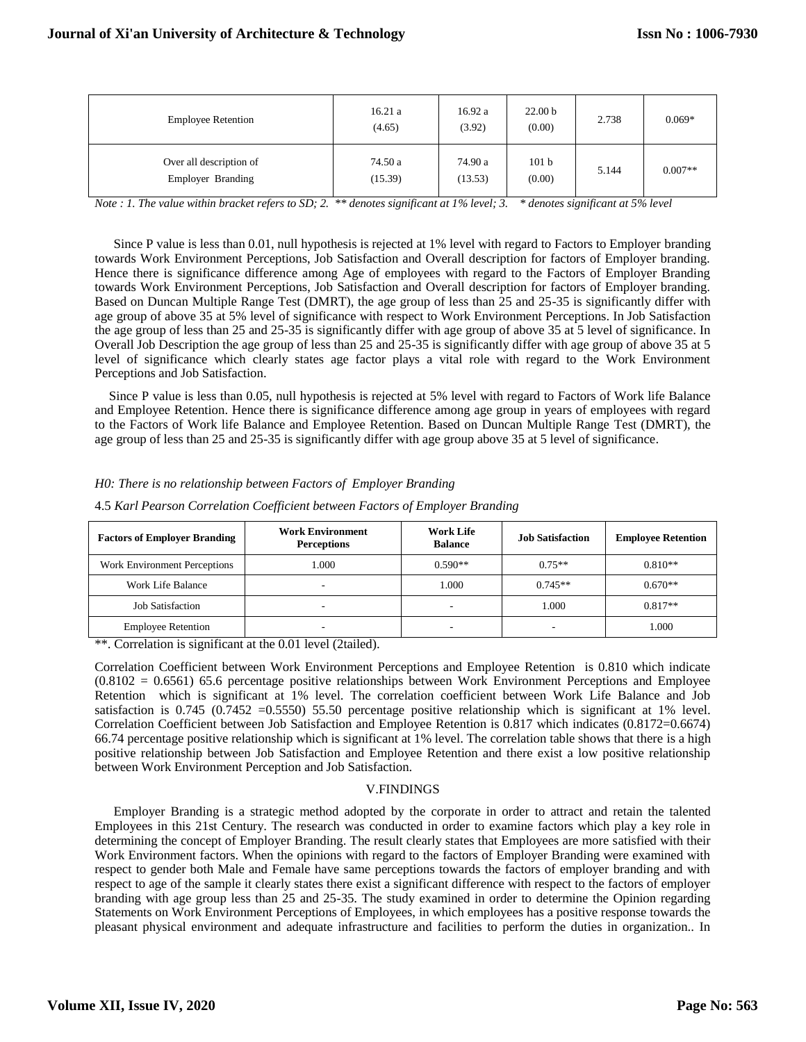| <b>Employee Retention</b>                    | 16.21a<br>(4.65)   | 16.92a<br>(3.92)   | 22.00 <sub>b</sub><br>(0.00) | 2.738 | $0.069*$  |
|----------------------------------------------|--------------------|--------------------|------------------------------|-------|-----------|
| Over all description of<br>Employer Branding | 74.50 a<br>(15.39) | 74.90 a<br>(13.53) | 101 <sub>b</sub><br>(0.00)   | 5.144 | $0.007**$ |

*Note : 1. The value within bracket refers to SD; 2. \*\* denotes significant at 1% level; 3. \* denotes significant at 5% level*

Since P value is less than 0.01, null hypothesis is rejected at 1% level with regard to Factors to Employer branding towards Work Environment Perceptions, Job Satisfaction and Overall description for factors of Employer branding. Hence there is significance difference among Age of employees with regard to the Factors of Employer Branding towards Work Environment Perceptions, Job Satisfaction and Overall description for factors of Employer branding. Based on Duncan Multiple Range Test (DMRT), the age group of less than 25 and 25-35 is significantly differ with age group of above 35 at 5% level of significance with respect to Work Environment Perceptions. In Job Satisfaction the age group of less than 25 and 25-35 is significantly differ with age group of above 35 at 5 level of significance. In Overall Job Description the age group of less than 25 and 25-35 is significantly differ with age group of above 35 at 5 level of significance which clearly states age factor plays a vital role with regard to the Work Environment Perceptions and Job Satisfaction.

Since P value is less than 0.05, null hypothesis is rejected at 5% level with regard to Factors of Work life Balance and Employee Retention. Hence there is significance difference among age group in years of employees with regard to the Factors of Work life Balance and Employee Retention. Based on Duncan Multiple Range Test (DMRT), the age group of less than 25 and 25-35 is significantly differ with age group above 35 at 5 level of significance.

## *H0: There is no relationship between Factors of Employer Branding*

|  | 4.5 Karl Pearson Correlation Coefficient between Factors of Employer Branding |
|--|-------------------------------------------------------------------------------|
|  |                                                                               |

| <b>Factors of Employer Branding</b> | <b>Work Environment</b><br><b>Perceptions</b> | Work Life<br><b>Balance</b> | <b>Job Satisfaction</b> | <b>Employee Retention</b> |
|-------------------------------------|-----------------------------------------------|-----------------------------|-------------------------|---------------------------|
| Work Environment Perceptions        | 000.1                                         | $0.590**$                   | $0.75**$                | $0.810**$                 |
| Work Life Balance                   |                                               | 1.000                       | $0.745**$               | $0.670**$                 |
| <b>Job Satisfaction</b>             | -                                             | -                           | 1.000                   | $0.817**$                 |
| <b>Employee Retention</b>           | -                                             | -                           | -                       | 1.000                     |

\*\*. Correlation is significant at the 0.01 level (2tailed).

Correlation Coefficient between Work Environment Perceptions and Employee Retention is 0.810 which indicate  $(0.8102 = 0.6561)$  65.6 percentage positive relationships between Work Environment Perceptions and Employee Retention which is significant at 1% level. The correlation coefficient between Work Life Balance and Job satisfaction is 0.745 (0.7452 = 0.5550) 55.50 percentage positive relationship which is significant at 1% level. Correlation Coefficient between Job Satisfaction and Employee Retention is 0.817 which indicates (0.8172=0.6674) 66.74 percentage positive relationship which is significant at 1% level. The correlation table shows that there is a high positive relationship between Job Satisfaction and Employee Retention and there exist a low positive relationship between Work Environment Perception and Job Satisfaction.

#### V.FINDINGS

Employer Branding is a strategic method adopted by the corporate in order to attract and retain the talented Employees in this 21st Century. The research was conducted in order to examine factors which play a key role in determining the concept of Employer Branding. The result clearly states that Employees are more satisfied with their Work Environment factors. When the opinions with regard to the factors of Employer Branding were examined with respect to gender both Male and Female have same perceptions towards the factors of employer branding and with respect to age of the sample it clearly states there exist a significant difference with respect to the factors of employer branding with age group less than 25 and 25-35. The study examined in order to determine the Opinion regarding Statements on Work Environment Perceptions of Employees, in which employees has a positive response towards the pleasant physical environment and adequate infrastructure and facilities to perform the duties in organization.. In